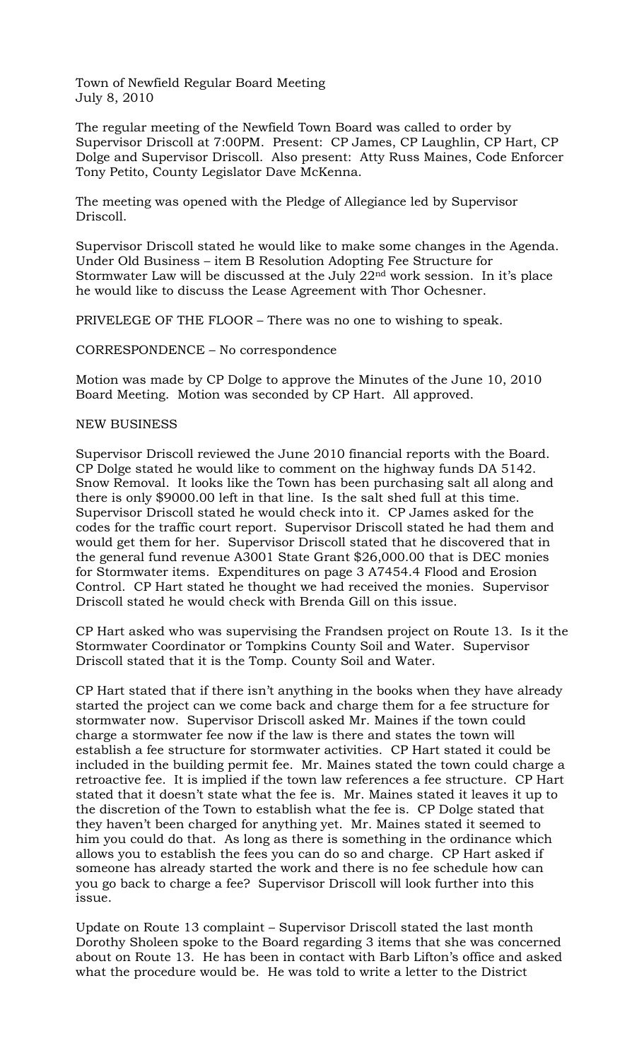Town of Newfield Regular Board Meeting July 8, 2010

The regular meeting of the Newfield Town Board was called to order by Supervisor Driscoll at 7:00PM. Present: CP James, CP Laughlin, CP Hart, CP Dolge and Supervisor Driscoll. Also present: Atty Russ Maines, Code Enforcer Tony Petito, County Legislator Dave McKenna.

The meeting was opened with the Pledge of Allegiance led by Supervisor Driscoll.

Supervisor Driscoll stated he would like to make some changes in the Agenda. Under Old Business – item B Resolution Adopting Fee Structure for Stormwater Law will be discussed at the July 22nd work session. In it's place he would like to discuss the Lease Agreement with Thor Ochesner.

PRIVELEGE OF THE FLOOR – There was no one to wishing to speak.

CORRESPONDENCE – No correspondence

Motion was made by CP Dolge to approve the Minutes of the June 10, 2010 Board Meeting. Motion was seconded by CP Hart. All approved.

## NEW BUSINESS

Supervisor Driscoll reviewed the June 2010 financial reports with the Board. CP Dolge stated he would like to comment on the highway funds DA 5142. Snow Removal. It looks like the Town has been purchasing salt all along and there is only \$9000.00 left in that line. Is the salt shed full at this time. Supervisor Driscoll stated he would check into it. CP James asked for the codes for the traffic court report. Supervisor Driscoll stated he had them and would get them for her. Supervisor Driscoll stated that he discovered that in the general fund revenue A3001 State Grant \$26,000.00 that is DEC monies for Stormwater items. Expenditures on page 3 A7454.4 Flood and Erosion Control. CP Hart stated he thought we had received the monies. Supervisor Driscoll stated he would check with Brenda Gill on this issue.

CP Hart asked who was supervising the Frandsen project on Route 13. Is it the Stormwater Coordinator or Tompkins County Soil and Water. Supervisor Driscoll stated that it is the Tomp. County Soil and Water.

CP Hart stated that if there isn't anything in the books when they have already started the project can we come back and charge them for a fee structure for stormwater now. Supervisor Driscoll asked Mr. Maines if the town could charge a stormwater fee now if the law is there and states the town will establish a fee structure for stormwater activities. CP Hart stated it could be included in the building permit fee. Mr. Maines stated the town could charge a retroactive fee. It is implied if the town law references a fee structure. CP Hart stated that it doesn't state what the fee is. Mr. Maines stated it leaves it up to the discretion of the Town to establish what the fee is. CP Dolge stated that they haven't been charged for anything yet. Mr. Maines stated it seemed to him you could do that. As long as there is something in the ordinance which allows you to establish the fees you can do so and charge. CP Hart asked if someone has already started the work and there is no fee schedule how can you go back to charge a fee? Supervisor Driscoll will look further into this issue.

Update on Route 13 complaint – Supervisor Driscoll stated the last month Dorothy Sholeen spoke to the Board regarding 3 items that she was concerned about on Route 13. He has been in contact with Barb Lifton's office and asked what the procedure would be. He was told to write a letter to the District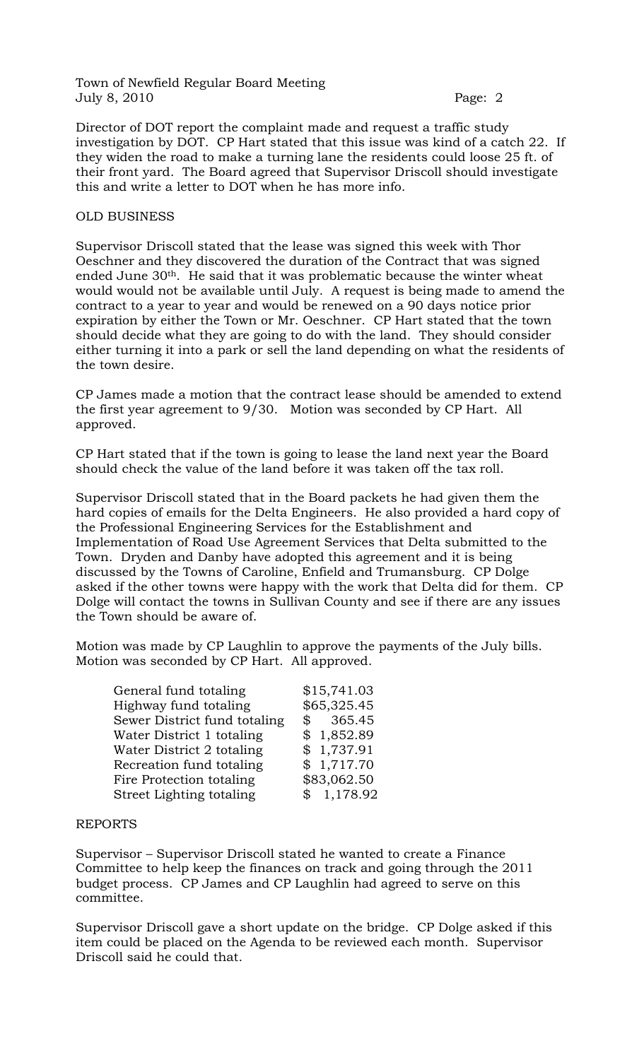Town of Newfield Regular Board Meeting July 8, 2010 Page: 2

Director of DOT report the complaint made and request a traffic study investigation by DOT. CP Hart stated that this issue was kind of a catch 22. If they widen the road to make a turning lane the residents could loose 25 ft. of their front yard. The Board agreed that Supervisor Driscoll should investigate this and write a letter to DOT when he has more info.

## OLD BUSINESS

Supervisor Driscoll stated that the lease was signed this week with Thor Oeschner and they discovered the duration of the Contract that was signed ended June 30th. He said that it was problematic because the winter wheat would would not be available until July. A request is being made to amend the contract to a year to year and would be renewed on a 90 days notice prior expiration by either the Town or Mr. Oeschner. CP Hart stated that the town should decide what they are going to do with the land. They should consider either turning it into a park or sell the land depending on what the residents of the town desire.

CP James made a motion that the contract lease should be amended to extend the first year agreement to 9/30. Motion was seconded by CP Hart. All approved.

CP Hart stated that if the town is going to lease the land next year the Board should check the value of the land before it was taken off the tax roll.

Supervisor Driscoll stated that in the Board packets he had given them the hard copies of emails for the Delta Engineers. He also provided a hard copy of the Professional Engineering Services for the Establishment and Implementation of Road Use Agreement Services that Delta submitted to the Town. Dryden and Danby have adopted this agreement and it is being discussed by the Towns of Caroline, Enfield and Trumansburg. CP Dolge asked if the other towns were happy with the work that Delta did for them. CP Dolge will contact the towns in Sullivan County and see if there are any issues the Town should be aware of.

Motion was made by CP Laughlin to approve the payments of the July bills. Motion was seconded by CP Hart. All approved.

| General fund totaling        | \$15,741.03 |
|------------------------------|-------------|
| Highway fund totaling        | \$65,325.45 |
| Sewer District fund totaling | \$365.45    |
| Water District 1 totaling    | \$1,852.89  |
| Water District 2 totaling    | \$1,737.91  |
| Recreation fund totaling     | \$1,717.70  |
| Fire Protection totaling     | \$83,062.50 |
| Street Lighting totaling     | \$1,178.92  |

## REPORTS

Supervisor – Supervisor Driscoll stated he wanted to create a Finance Committee to help keep the finances on track and going through the 2011 budget process. CP James and CP Laughlin had agreed to serve on this committee.

Supervisor Driscoll gave a short update on the bridge. CP Dolge asked if this item could be placed on the Agenda to be reviewed each month. Supervisor Driscoll said he could that.